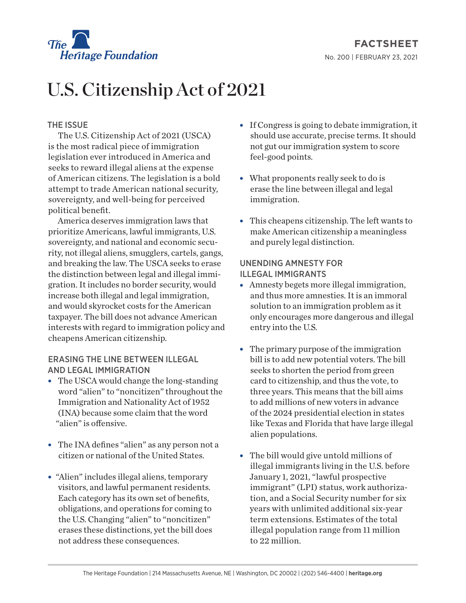

# U.S. Citizenship Act of 2021

# THE ISSUE

The U.S. Citizenship Act of 2021 (USCA) is the most radical piece of immigration legislation ever introduced in America and seeks to reward illegal aliens at the expense of American citizens. The legislation is a bold attempt to trade American national security, sovereignty, and well-being for perceived political benefit.

America deserves immigration laws that prioritize Americans, lawful immigrants, U.S. sovereignty, and national and economic security, not illegal aliens, smugglers, cartels, gangs, and breaking the law. The USCA seeks to erase the distinction between legal and illegal immigration. It includes no border security, would increase both illegal and legal immigration, and would skyrocket costs for the American taxpayer. The bill does not advance American interests with regard to immigration policy and cheapens American citizenship.

## ERASING THE LINE BETWEEN ILLEGAL AND LEGAL IMMIGRATION

- $\bullet$  The USCA would change the long-standing word "alien" to "noncitizen" throughout the Immigration and Nationality Act of 1952 (INA) because some claim that the word "alien" is offensive.
- The INA defines "alien" as any person not a citizen or national of the United States.
- "Alien" includes illegal aliens, temporary visitors, and lawful permanent residents. Each category has its own set of benefits, obligations, and operations for coming to the U.S. Changing "alien" to "noncitizen" erases these distinctions, yet the bill does not address these consequences.
- If Congress is going to debate immigration, it should use accurate, precise terms. It should not gut our immigration system to score feel-good points.
- What proponents really seek to do is erase the line between illegal and legal immigration.
- $\bullet$  This cheapens citizenship. The left wants to make American citizenship a meaningless and purely legal distinction.

## UNENDING AMNESTY FOR ILLEGAL IMMIGRANTS

- Amnesty begets more illegal immigration, and thus more amnesties. It is an immoral solution to an immigration problem as it only encourages more dangerous and illegal entry into the U.S.
- $\bullet$  The primary purpose of the immigration bill is to add new potential voters. The bill seeks to shorten the period from green card to citizenship, and thus the vote, to three years. This means that the bill aims to add millions of new voters in advance of the 2024 presidential election in states like Texas and Florida that have large illegal alien populations.
- The bill would give untold millions of illegal immigrants living in the U.S. before January 1, 2021, "lawful prospective immigrant" (LPI) status, work authorization, and a Social Security number for six years with unlimited additional six-year term extensions. Estimates of the total illegal population range from 11 million to 22 million.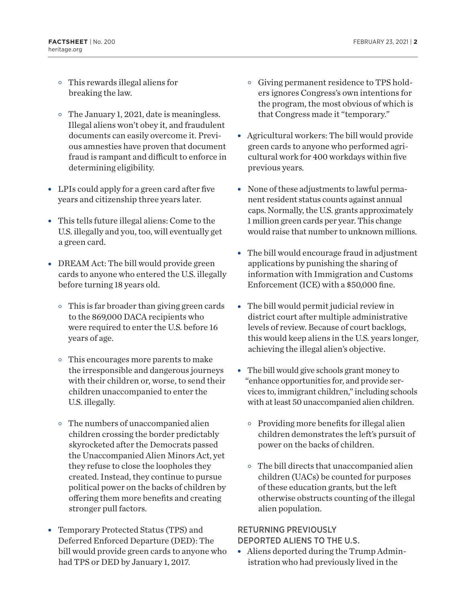- $\circ$  This rewards illegal aliens for breaking the law.
- $\circ$  The January 1, 2021, date is meaningless. Illegal aliens won't obey it, and fraudulent documents can easily overcome it. Previous amnesties have proven that document fraud is rampant and difficult to enforce in determining eligibility.
- LPIs could apply for a green card after five years and citizenship three years later.
- This tells future illegal aliens: Come to the U.S. illegally and you, too, will eventually get a green card.
- DREAM Act: The bill would provide green cards to anyone who entered the U.S. illegally before turning 18 years old.
	- $\circ$  This is far broader than giving green cards to the 869,000 DACA recipients who were required to enter the U.S. before 16 years of age.
	- $\circ$  This encourages more parents to make the irresponsible and dangerous journeys with their children or, worse, to send their children unaccompanied to enter the U.S. illegally.
	- $\circ$  The numbers of unaccompanied alien children crossing the border predictably skyrocketed after the Democrats passed the Unaccompanied Alien Minors Act, yet they refuse to close the loopholes they created. Instead, they continue to pursue political power on the backs of children by offering them more benefits and creating stronger pull factors.
- Temporary Protected Status (TPS) and Deferred Enforced Departure (DED): The bill would provide green cards to anyone who had TPS or DED by January 1, 2017.
- $\circ$  Giving permanent residence to TPS holders ignores Congress's own intentions for the program, the most obvious of which is that Congress made it "temporary."
- Agricultural workers: The bill would provide green cards to anyone who performed agricultural work for 400 workdays within five previous years.
- None of these adjustments to lawful permanent resident status counts against annual caps. Normally, the U.S. grants approximately 1 million green cards per year. This change would raise that number to unknown millions.
- $\bullet$  The bill would encourage fraud in adjustment applications by punishing the sharing of information with Immigration and Customs Enforcement (ICE) with a \$50,000 fine.
- $\bullet$  The bill would permit judicial review in district court after multiple administrative levels of review. Because of court backlogs, this would keep aliens in the U.S. years longer, achieving the illegal alien's objective.
- The bill would give schools grant money to "enhance opportunities for, and provide services to, immigrant children," including schools with at least 50 unaccompanied alien children.
	- $\circ$  Providing more benefits for illegal alien children demonstrates the left's pursuit of power on the backs of children.
	- $\circ$  The bill directs that unaccompanied alien children (UACs) be counted for purposes of these education grants, but the left otherwise obstructs counting of the illegal alien population.

#### RETURNING PREVIOUSLY DEPORTED ALIENS TO THE U.S.

• Aliens deported during the Trump Administration who had previously lived in the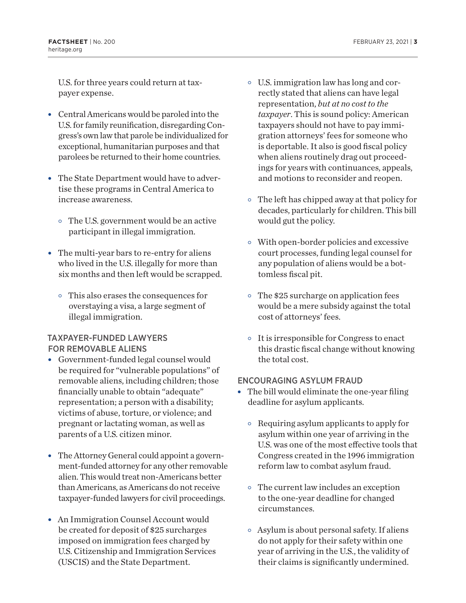U.S. for three years could return at taxpayer expense.

- Central Americans would be paroled into the U.S. for family reunification, disregarding Congress's own law that parole be individualized for exceptional, humanitarian purposes and that parolees be returned to their home countries.
- The State Department would have to advertise these programs in Central America to increase awareness.
	- $\circ$  The U.S. government would be an active participant in illegal immigration.
- $\bullet$  The multi-year bars to re-entry for aliens who lived in the U.S. illegally for more than six months and then left would be scrapped.
	- $\circ$  This also erases the consequences for overstaying a visa, a large segment of illegal immigration.

# TAXPAYER-FUNDED LAWYERS FOR REMOVABLE ALIENS

- Government-funded legal counsel would be required for "vulnerable populations" of removable aliens, including children; those financially unable to obtain "adequate" representation; a person with a disability; victims of abuse, torture, or violence; and pregnant or lactating woman, as well as parents of a U.S. citizen minor.
- The Attorney General could appoint a government-funded attorney for any other removable alien. This would treat non-Americans better than Americans, as Americans do not receive taxpayer-funded lawyers for civil proceedings.
- An Immigration Counsel Account would be created for deposit of \$25 surcharges imposed on immigration fees charged by U.S. Citizenship and Immigration Services (USCIS) and the State Department.
- $\circ$  U.S. immigration law has long and correctly stated that aliens can have legal representation, *but at no cost to the taxpayer*. This is sound policy: American taxpayers should not have to pay immigration attorneys' fees for someone who is deportable. It also is good fiscal policy when aliens routinely drag out proceedings for years with continuances, appeals, and motions to reconsider and reopen.
- $\circ$  The left has chipped away at that policy for decades, particularly for children. This bill would gut the policy.
- $\circ$  With open-border policies and excessive court processes, funding legal counsel for any population of aliens would be a bottomless fiscal pit.
- $\circ$  The \$25 surcharge on application fees would be a mere subsidy against the total cost of attorneys' fees.
- $\circ$  It is irresponsible for Congress to enact this drastic fiscal change without knowing the total cost.

## ENCOURAGING ASYLUM FRAUD

- $\bullet$  The bill would eliminate the one-year filing deadline for asylum applicants.
	- $\circ$  Requiring asylum applicants to apply for asylum within one year of arriving in the U.S. was one of the most effective tools that Congress created in the 1996 immigration reform law to combat asylum fraud.
	- $\circ$  The current law includes an exception to the one-year deadline for changed circumstances.
	- $\circ$  Asylum is about personal safety. If aliens do not apply for their safety within one year of arriving in the U.S., the validity of their claims is significantly undermined.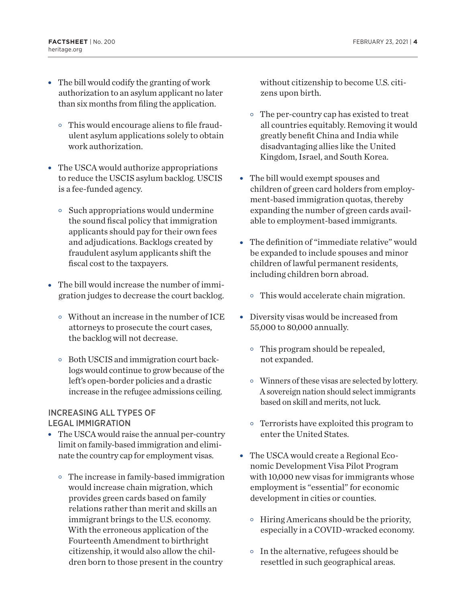- $\bullet$  The bill would codify the granting of work authorization to an asylum applicant no later than six months from filing the application.
	- $\circ$  This would encourage aliens to file fraudulent asylum applications solely to obtain work authorization.
- The USCA would authorize appropriations to reduce the USCIS asylum backlog. USCIS is a fee-funded agency.
	- $\circ$  Such appropriations would undermine the sound fiscal policy that immigration applicants should pay for their own fees and adjudications. Backlogs created by fraudulent asylum applicants shift the fiscal cost to the taxpayers.
- The bill would increase the number of immigration judges to decrease the court backlog.
	- $\circ$  Without an increase in the number of ICE attorneys to prosecute the court cases, the backlog will not decrease.
	- $\circ$  Both USCIS and immigration court backlogs would continue to grow because of the left's open-border policies and a drastic increase in the refugee admissions ceiling.

## INCREASING ALL TYPES OF LEGAL IMMIGRATION

- The USCA would raise the annual per-country limit on family-based immigration and eliminate the country cap for employment visas.
	- $\circ$  The increase in family-based immigration would increase chain migration, which provides green cards based on family relations rather than merit and skills an immigrant brings to the U.S. economy. With the erroneous application of the Fourteenth Amendment to birthright citizenship, it would also allow the children born to those present in the country

without citizenship to become U.S. citizens upon birth.

- $\circ$  The per-country cap has existed to treat all countries equitably. Removing it would greatly benefit China and India while disadvantaging allies like the United Kingdom, Israel, and South Korea.
- The bill would exempt spouses and children of green card holders from employment-based immigration quotas, thereby expanding the number of green cards available to employment-based immigrants.
- The definition of "immediate relative" would be expanded to include spouses and minor children of lawful permanent residents, including children born abroad.
	- $\circ$  This would accelerate chain migration.
- Diversity visas would be increased from 55,000 to 80,000 annually.
	- $\circ$  This program should be repealed, not expanded.
	- $\circ$  Winners of these visas are selected by lottery. A sovereign nation should select immigrants based on skill and merits, not luck.
	- $\circ$  Terrorists have exploited this program to enter the United States.
- The USCA would create a Regional Economic Development Visa Pilot Program with 10,000 new visas for immigrants whose employment is "essential" for economic development in cities or counties.
	- $\circ$  Hiring Americans should be the priority, especially in a COVID-wracked economy.
	- $\circ$  In the alternative, refugees should be resettled in such geographical areas.